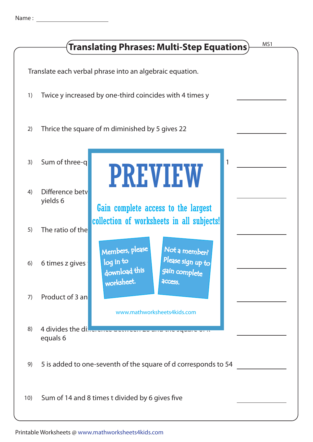| MS1<br>Translating Phrases: Multi-Step Equations)        |                             |                                                                                                                                                                                                                                                                                                     |  |  |
|----------------------------------------------------------|-----------------------------|-----------------------------------------------------------------------------------------------------------------------------------------------------------------------------------------------------------------------------------------------------------------------------------------------------|--|--|
| Translate each verbal phrase into an algebraic equation. |                             |                                                                                                                                                                                                                                                                                                     |  |  |
| 1)                                                       |                             | Twice y increased by one-third coincides with 4 times y                                                                                                                                                                                                                                             |  |  |
| 2)                                                       |                             | Thrice the square of m diminished by 5 gives 22                                                                                                                                                                                                                                                     |  |  |
| 3)                                                       | Sum of three-q              | 1<br><b>PREVIEW</b>                                                                                                                                                                                                                                                                                 |  |  |
| 4)                                                       | Difference bety<br>yields 6 | Gain complete access to the largest<br>collection of worksheets in all subjects!<br>Members, please<br>Not a member?<br>Please sign up to<br>log in to<br>download this<br>gain complete<br>worksheet.<br>access.<br>www.mathworksheets4kids.com<br>4 divides the di-energy serves and the state of |  |  |
| 5)                                                       | The ratio of the            |                                                                                                                                                                                                                                                                                                     |  |  |
| 6)                                                       | 6 times z gives             |                                                                                                                                                                                                                                                                                                     |  |  |
| 7)                                                       | Product of 3 an             |                                                                                                                                                                                                                                                                                                     |  |  |
| 8)                                                       | equals 6                    |                                                                                                                                                                                                                                                                                                     |  |  |
| 9)                                                       |                             | 5 is added to one-seventh of the square of d corresponds to 54                                                                                                                                                                                                                                      |  |  |
| 10)                                                      |                             | Sum of 14 and 8 times t divided by 6 gives five                                                                                                                                                                                                                                                     |  |  |